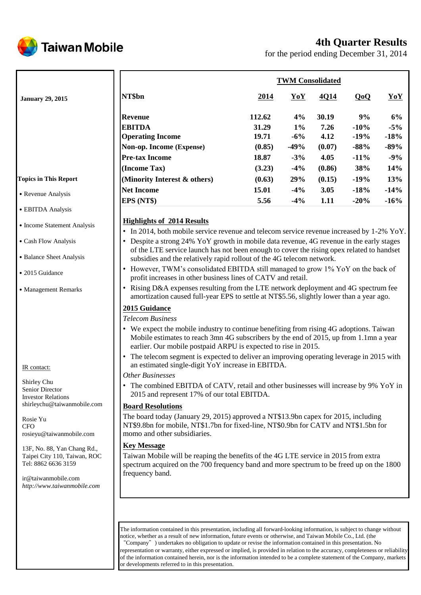

# **4th Quarter Results**

for the period ending December 31, 2014

|                              |                                                                                                                                        | <b>TWM Consolidated</b> |        |        |         |        |  |
|------------------------------|----------------------------------------------------------------------------------------------------------------------------------------|-------------------------|--------|--------|---------|--------|--|
| <b>January 29, 2015</b>      | NT\$bn                                                                                                                                 | 2014                    | YoY    | 4Q14   | QoQ     | YoY    |  |
|                              | <b>Revenue</b>                                                                                                                         | 112.62                  | 4%     | 30.19  | 9%      | 6%     |  |
|                              | <b>EBITDA</b>                                                                                                                          | 31.29                   | $1\%$  | 7.26   | $-10%$  | $-5%$  |  |
|                              | <b>Operating Income</b>                                                                                                                | 19.71                   | $-6\%$ | 4.12   | $-19\%$ | $-18%$ |  |
|                              | Non-op. Income (Expense)                                                                                                               | (0.85)                  | $-49%$ | (0.07) | $-88%$  | $-89%$ |  |
|                              | <b>Pre-tax Income</b>                                                                                                                  | 18.87                   | $-3%$  | 4.05   | $-11%$  | $-9%$  |  |
|                              | (Income Tax)                                                                                                                           | (3.23)                  | $-4\%$ | (0.86) | 38%     | 14%    |  |
| <b>Topics in This Report</b> | (Minority Interest & others)                                                                                                           | (0.63)                  | 29%    | (0.15) | $-19%$  | 13%    |  |
| • Revenue Analysis           | <b>Net Income</b>                                                                                                                      | 15.01                   | $-4\%$ | 3.05   | $-18%$  | $-14%$ |  |
|                              | EPS (NT\$)                                                                                                                             | 5.56                    | $-4\%$ | 1.11   | $-20%$  | $-16%$ |  |
| • EBITDA Analysis            |                                                                                                                                        |                         |        |        |         |        |  |
| • Income Statement Analysis  | <b>Highlights of 2014 Results</b><br>• In 2014, both mobile service revenue and telecom service revenue increased by 1-2% $\gamma_0$ . |                         |        |        |         |        |  |

˙Cash Flow Analysis

- ˙Balance Sheet Analysis
- 2015 Guidance
- ˙Management Remarks

#### IR contact:

Shirley Chu Senior Director Investor Relations shirleychu@taiwanmobile.com

Rosie Yu **CFO** rosieyu@taiwanmobile.com

13F, No. 88, Yan Chang Rd., Taipei City 110, Taiwan, ROC Tel: 8862 6636 3159

ir@taiwanmobile.com *http://www.taiwanmobile.com*

- In 2014, both mobile service revenue and telecom service revenue increased by 1-2% YoY.
- Despite a strong 24% YoY growth in mobile data revenue, 4G revenue in the early stages of the LTE service launch has not been enough to cover the rising opex related to handset subsidies and the relatively rapid rollout of the 4G telecom network.
- However, TWM's consolidated EBITDA still managed to grow 1% YoY on the back of profit increases in other business lines of CATV and retail.
- Rising D&A expenses resulting from the LTE network deployment and 4G spectrum fee amortization caused full-year EPS to settle at NT\$5.56, slightly lower than a year ago.

# **2015 Guidance**

*Telecom Business*

- We expect the mobile industry to continue benefiting from rising 4G adoptions. Taiwan Mobile estimates to reach 3mn 4G subscribers by the end of 2015, up from 1.1mn a year earlier. Our mobile postpaid ARPU is expected to rise in 2015.
- The telecom segment is expected to deliver an improving operating leverage in 2015 with an estimated single-digit YoY increase in EBITDA.

### *Other Businesses*

• The combined EBITDA of CATV, retail and other businesses will increase by 9% YoY in 2015 and represent 17% of our total EBITDA.

### **Board Resolutions**

The board today (January 29, 2015) approved a NT\$13.9bn capex for 2015, including NT\$9.8bn for mobile, NT\$1.7bn for fixed-line, NT\$0.9bn for CATV and NT\$1.5bn for momo and other subsidiaries.

### **Key Message**

Taiwan Mobile will be reaping the benefits of the 4G LTE service in 2015 from extra spectrum acquired on the 700 frequency band and more spectrum to be freed up on the 1800 frequency band.

The information contained in this presentation, including all forward-looking information, is subject to change without notice, whether as a result of new information, future events or otherwise, and Taiwan Mobile Co., Ltd. (the "Company") undertakes no obligation to update or revise the information contained in this presentation. No representation or warranty, either expressed or implied, is provided in relation to the accuracy, completeness or reliability of the information contained herein, nor is the information intended to be a complete statement of the Company, markets or developments referred to in this presentation.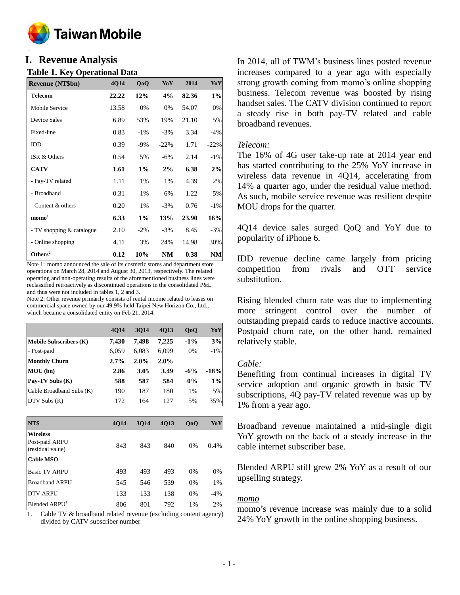

### **o I. Revenue Analysis**

### **Table 1. Key Operational Data**

| <b>Revenue (NT\$bn)</b>   | 4Q14  | QoQ    | YoY     | 2014  | YoY    |
|---------------------------|-------|--------|---------|-------|--------|
| <b>Telecom</b>            | 22.22 | 12%    | 4%      | 82.36 | $1\%$  |
| Mobile Service            | 13.58 | 0%     | 0%      | 54.07 | 0%     |
| Device Sales              | 6.89  | 53%    | 19%     | 21.10 | 5%     |
| Fixed-line                | 0.83  | $-1\%$ | $-3\%$  | 3.34  | $-4%$  |
| <b>IDD</b>                | 0.39  | $-9\%$ | $-22\%$ | 1.71  | $-22%$ |
| ISR & Others              | 0.54  | 5%     | $-6\%$  | 2.14  | $-1\%$ |
| <b>CATV</b>               | 1.61  | $1\%$  | 2%      | 6.38  | 2%     |
| - Pay-TV related          | 1.11  | 1%     | 1%      | 4.39  | 2%     |
| - Broadband               | 0.31  | 1%     | 6%      | 1.22  | 5%     |
| - Content & others        | 0.20  | 1%     | $-3%$   | 0.76  | $-1\%$ |
| $\mathbf{mono}^1$         | 6.33  | $1\%$  | 13%     | 23.90 | 16%    |
| - TV shopping & catalogue | 2.10  | $-2\%$ | $-3\%$  | 8.45  | $-3%$  |
| - Online shopping         | 4.11  | 3%     | 24%     | 14.98 | 30%    |
| Others <sup>2</sup>       | 0.12  | 10%    | NM      | 0.38  | NM     |

Note 1: momo announced the sale of its cosmetic stores and department store operations on March 28, 2014 and August 30, 2013, respectively. The related operating and non-operating results of the aforementioned business lines were reclassified retroactively as discontinued operations in the consolidated P&L and thus were not included in tables 1, 2 and 3.

Note 2: Other revenue primarily consists of rental income related to leases on commercial space owned by our 49.9%-held Taipei New Horizon Co., Ltd., which became a consolidated entity on Feb 21, 2014.

|                               | <b>4014</b> | 3014  | 4013  | 0 <sub>0</sub> | YoY    |
|-------------------------------|-------------|-------|-------|----------------|--------|
| <b>Mobile Subscribers (K)</b> | 7.430       | 7.498 | 7,225 | $-1\%$         | 3%     |
| - Post-paid                   | 6,059       | 6,083 | 6,099 | 0%             | $-1\%$ |
| <b>Monthly Churn</b>          | $2.7\%$     | 2.0%  | 2.0%  |                |        |
| MOU(bn)                       | 2.86        | 3.05  | 3.49  | $-6%$          | $-18%$ |
| Pay-TV Subs (K)               | 588         | 587   | 584   | $0\%$          | $1\%$  |
| Cable Broadband Subs (K)      | 190         | 187   | 180   | 1%             | 5%     |
| $DTV$ Subs $(K)$              | 172         | 164   | 127   | 5%             | 35%    |

| NT\$                               | <b>4014</b> | 3014 | 4Q13 | QoQ | YoY   |
|------------------------------------|-------------|------|------|-----|-------|
| <b>Wireless</b>                    |             |      |      |     |       |
| Post-paid ARPU<br>(residual value) | 843         | 843  | 840  | 0%  | 0.4%  |
| <b>Cable MSO</b>                   |             |      |      |     |       |
| <b>Basic TV ARPU</b>               | 493         | 493  | 493  | 0%  | 0%    |
| <b>Broadband ARPU</b>              | 545         | 546  | 539  | 0%  | 1%    |
| <b>DTV ARPU</b>                    | 133         | 133  | 138  | 0%  | $-4%$ |
| Blended ARPU <sup>1</sup>          | 806         | 801  | 792  | 1%  | 2%    |

Cable TV & broadband related revenue (excluding content agency) divided by CATV subscriber number

In 2014, all of TWM's business lines posted revenue increases compared to a year ago with especially strong growth coming from momo's online shopping business. Telecom revenue was boosted by rising handset sales. The CATV division continued to report a steady rise in both pay-TV related and cable broadband revenues.

### *Telecom:*

The 16% of 4G user take-up rate at 2014 year end has started contributing to the 25% YoY increase in wireless data revenue in 4Q14, accelerating from 14% a quarter ago, under the residual value method. As such, mobile service revenue was resilient despite MOU drops for the quarter.

4Q14 device sales surged QoQ and YoY due to popularity of iPhone 6.

IDD revenue decline came largely from pricing competition from rivals and OTT service substitution.

Rising blended churn rate was due to implementing more stringent control over the number of outstanding prepaid cards to reduce inactive accounts. Postpaid churn rate, on the other hand, remained relatively stable.

# *Cable:*

Benefiting from continual increases in digital TV service adoption and organic growth in basic TV subscriptions, 4Q pay-TV related revenue was up by 1% from a year ago.

Broadband revenue maintained a mid-single digit YoY growth on the back of a steady increase in the cable internet subscriber base.

Blended ARPU still grew 2% YoY as a result of our upselling strategy.

### *momo*

momo's revenue increase was mainly due to a solid 24% YoY growth in the online shopping business.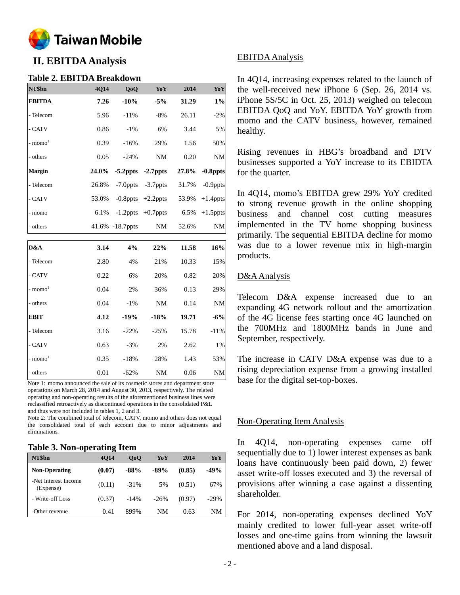

# **II. EBITDA Analysis**

### **Table 2. EBITDA Breakdown**

| NT\$bn                | 4Q14  | QoQ             | $\bf{YoY}$  | 2014  | YoY         |
|-----------------------|-------|-----------------|-------------|-------|-------------|
| <b>EBITDA</b>         | 7.26  | $-10%$          | $-5%$       | 31.29 | $1\%$       |
| - Telecom             | 5.96  | $-11%$          | $-8%$       | 26.11 | $-2%$       |
| - CATV                | 0.86  | $-1\%$          | 6%          | 3.44  | 5%          |
| - momo <sup>1</sup>   | 0.39  | $-16%$          | 29%         | 1.56  | 50%         |
| - others              | 0.05  | $-24%$          | NM          | 0.20  | NM          |
| Margin                | 24.0% | $-5.2$ ppts     | $-2.7$ ppts | 27.8% | $-0.8$ ppts |
| - Telecom             | 26.8% | $-7.0$ ppts     | $-3.7$ ppts | 31.7% | $-0.9$ ppts |
| - CATV                | 53.0% | $-0.8$ ppts     | $+2.2$ ppts | 53.9% | $+1.4$ ppts |
| - momo                | 6.1%  | $-1.2$ ppts     | $+0.7$ ppts | 6.5%  | $+1.5$ ppts |
| - others              |       | 41.6% -18.7ppts | NM          | 52.6% | NM          |
|                       |       |                 |             |       |             |
| D&A                   | 3.14  | 4%              | 22%         | 11.58 | 16%         |
| - Telecom             | 2.80  | 4%              | 21%         | 10.33 | 15%         |
| - CATV                | 0.22  | 6%              | 20%         | 0.82  | 20%         |
| $-$ momo <sup>1</sup> | 0.04  | 2%              | 36%         | 0.13  | 29%         |
| - others              | 0.04  | $-1\%$          | $\rm{NM}$   | 0.14  | <b>NM</b>   |
| <b>EBIT</b>           | 4.12  | $-19%$          | $-18%$      | 19.71 | $-6%$       |
| - Telecom             | 3.16  | $-22%$          | $-25%$      | 15.78 | $-11%$      |
| - CATV                | 0.63  | $-3%$           | 2%          | 2.62  | 1%          |
| - momo <sup>1</sup>   | 0.35  | $-18%$          | 28%         | 1.43  | 53%         |
| - others              | 0.01  | $-62%$          | <b>NM</b>   | 0.06  | NM          |

Note 1: momo announced the sale of its cosmetic stores and department store operations on March 28, 2014 and August 30, 2013, respectively. The related operating and non-operating results of the aforementioned business lines were reclassified retroactively as discontinued operations in the consolidated P&L and thus were not included in tables 1, 2 and 3.

Note 2: The combined total of telecom, CATV, momo and others does not equal the consolidated total of each account due to minor adjustments and eliminations.

#### **Table 3. Non-operating Item**

| NT\$bn                            | <b>4014</b> | 0 <sub>0</sub> | YoY    | 2014   | YoY    |
|-----------------------------------|-------------|----------------|--------|--------|--------|
| <b>Non-Operating</b>              | (0.07)      | $-88%$         | $-89%$ | (0.85) | $-49%$ |
| -Net Interest Income<br>(Expense) | (0.11)      | $-31%$         | 5%     | (0.51) | 67%    |
| - Write-off Loss                  | (0.37)      | $-14%$         | $-26%$ | (0.97) | $-29%$ |
| -Other revenue                    | 0.41        | 899%           | NM     | 0.63   | NΜ     |

# EBITDA Analysis

In 4Q14, increasing expenses related to the launch of the well-received new iPhone 6 (Sep. 26, 2014 vs. iPhone 5S/5C in Oct. 25, 2013) weighed on telecom EBITDA QoQ and YoY. EBITDA YoY growth from momo and the CATV business, however, remained healthy.

Rising revenues in HBG's broadband and DTV businesses supported a YoY increase to its EBIDTA for the quarter.

In 4Q14, momo's EBITDA grew 29% YoY credited to strong revenue growth in the online shopping business and channel cost cutting measures implemented in the TV home shopping business primarily. The sequential EBITDA decline for momo was due to a lower revenue mix in high-margin products.

# D&AAnalysis

Telecom D&A expense increased due to an expanding 4G network rollout and the amortization of the 4G license fees starting once 4G launched on the 700MHz and 1800MHz bands in June and September, respectively.

The increase in CATV D&A expense was due to a rising depreciation expense from a growing installed base for the digital set-top-boxes.

# Non-Operating Item Analysis

In 4Q14, non-operating expenses came off sequentially due to 1) lower interest expenses as bank loans have continuously been paid down, 2) fewer asset write-off losses executed and 3) the reversal of provisions after winning a case against a dissenting shareholder.

For 2014, non-operating expenses declined YoY mainly credited to lower full-year asset write-off losses and one-time gains from winning the lawsuit mentioned above and a land disposal.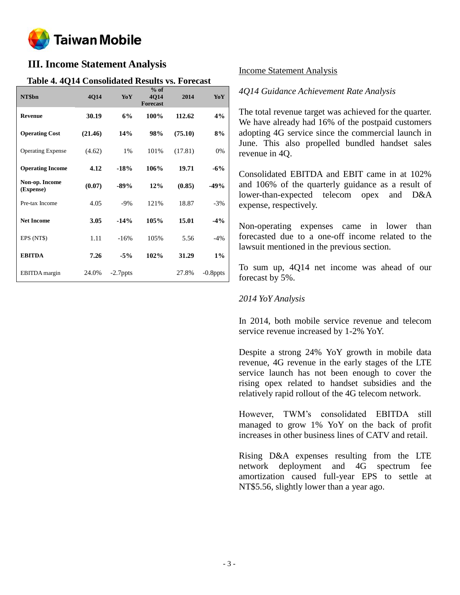

# **III. Income Statement Analysis**

# **Table 4. 4Q14 Consolidated Results vs. Forecast**

| NT\$bn                      | 4Q14    | YoY         | $%$ of<br>4Q14<br><b>Forecast</b> | 2014    | <b>YoY</b>  |
|-----------------------------|---------|-------------|-----------------------------------|---------|-------------|
| <b>Revenue</b>              | 30.19   | 6%          | 100%                              | 112.62  | 4%          |
| <b>Operating Cost</b>       | (21.46) | 14%         | 98%                               | (75.10) | 8%          |
| <b>Operating Expense</b>    | (4.62)  | 1%          | 101%                              | (17.81) | 0%          |
| <b>Operating Income</b>     | 4.12    | $-18%$      | 106%                              | 19.71   | $-6\%$      |
| Non-op. Income<br>(Expense) | (0.07)  | $-89%$      | 12%                               | (0.85)  | -49%        |
| Pre-tax Income              | 4.05    | $-9\%$      | 121%                              | 18.87   | $-3%$       |
| <b>Net Income</b>           | 3.05    | $-14%$      | 105%                              | 15.01   | $-4%$       |
| EPS (NT\$)                  | 1.11    | $-16%$      | 105%                              | 5.56    | $-4\%$      |
| <b>EBITDA</b>               | 7.26    | $-5%$       | 102%                              | 31.29   | $1\%$       |
| <b>EBITDA</b> margin        | 24.0%   | $-2.7$ ppts |                                   | 27.8%   | $-0.8$ ppts |

### Income Statement Analysis

### *4Q14 Guidance Achievement Rate Analysis*

The total revenue target was achieved for the quarter. We have already had 16% of the postpaid customers adopting 4G service since the commercial launch in June. This also propelled bundled handset sales revenue in 4Q.

Consolidated EBITDA and EBIT came in at 102% and 106% of the quarterly guidance as a result of lower-than-expected telecom opex and D&A expense, respectively.

Non-operating expenses came in lower than forecasted due to a one-off income related to the lawsuit mentioned in the previous section.

To sum up, 4Q14 net income was ahead of our forecast by 5%.

### *2014 YoY Analysis*

In 2014, both mobile service revenue and telecom service revenue increased by 1-2% YoY.

Despite a strong 24% YoY growth in mobile data revenue, 4G revenue in the early stages of the LTE service launch has not been enough to cover the rising opex related to handset subsidies and the relatively rapid rollout of the 4G telecom network.

However, TWM's consolidated EBITDA still managed to grow 1% YoY on the back of profit increases in other business lines of CATV and retail.

Rising D&A expenses resulting from the LTE network deployment and 4G spectrum fee amortization caused full-year EPS to settle at NT\$5.56, slightly lower than a year ago.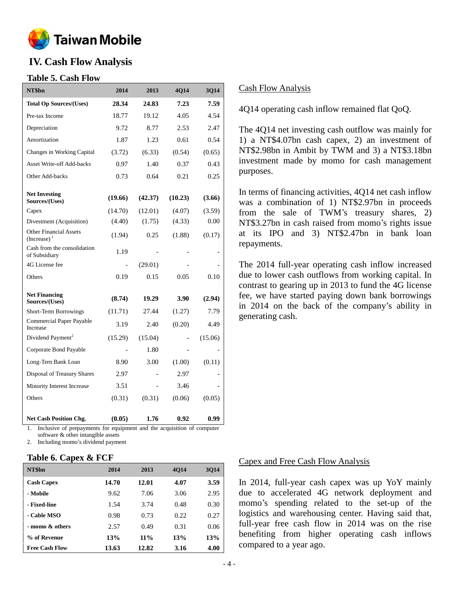

# **IV. Cash Flow Analysis**

# **Table 5. Cash Flow**

| NT\$bn                                          | 2014    | 2013    | 4Q14    | 3Q14    |
|-------------------------------------------------|---------|---------|---------|---------|
| <b>Total Op Sources/(Uses)</b>                  | 28.34   | 24.83   | 7.23    | 7.59    |
| Pre-tax Income                                  | 18.77   | 19.12   | 4.05    | 4.54    |
| Depreciation                                    | 9.72    | 8.77    | 2.53    | 2.47    |
| Amortization                                    | 1.87    | 1.23    | 0.61    | 0.54    |
| Changes in Working Capital                      | (3.72)  | (6.33)  | (0.54)  | (0.65)  |
| <b>Asset Write-off Add-backs</b>                | 0.97    | 1.40    | 0.37    | 0.43    |
| Other Add-backs                                 | 0.73    | 0.64    | 0.21    | 0.25    |
| <b>Net Investing</b><br>Sources/(Uses)          | (19.66) | (42.37) | (10.23) | (3.66)  |
| Capex                                           | (14.70) | (12.01) | (4.07)  | (3.59)  |
| Divestment (Acquisition)                        | (4.40)  | (1.75)  | (4.33)  | 0.00    |
| <b>Other Financial Assets</b><br>$(Increase)^1$ | (1.94)  | 0.25    | (1.88)  | (0.17)  |
| Cash from the consolidation<br>of Subsidiary    | 1.19    |         |         |         |
| 4G License fee                                  |         | (29.01) |         |         |
| Others                                          | 0.19    | 0.15    | 0.05    | 0.10    |
| <b>Net Financing</b><br>Sources/(Uses)          | (8.74)  | 19.29   | 3.90    | (2.94)  |
| Short-Term Borrowings                           | (11.71) | 27.44   | (1.27)  | 7.79    |
| <b>Commercial Paper Payable</b><br>Increase     | 3.19    | 2.40    | (0.20)  | 4.49    |
| Dividend Payment <sup>2</sup>                   | (15.29) | (15.04) |         | (15.06) |
| Corporate Bond Payable                          |         | 1.80    |         |         |
| Long-Tern Bank Loan                             | 8.90    | 3.00    | (1.00)  | (0.11)  |
| Disposal of Treasury Shares                     | 2.97    |         | 2.97    |         |
| Minority Interest Increase                      | 3.51    |         | 3.46    |         |
| Others                                          | (0.31)  | (0.31)  | (0.06)  | (0.05)  |
| <b>Net Cash Position Chg.</b>                   | (0.05)  | 1.76    | 0.92    | 0.99    |

1. Inclusive of prepayments for equipment and the acquisition of computer software & other intangible assets

2. Including momo's dividend payment

### **Table 6. Capex & FCF**

| NT\$bn                | 2014  | 2013   | <b>4014</b> | 3Q14 |
|-----------------------|-------|--------|-------------|------|
| <b>Cash Capex</b>     | 14.70 | 12.01  | 4.07        | 3.59 |
| - Mobile              | 9.62  | 7.06   | 3.06        | 2.95 |
| - Fixed-line          | 1.54  | 3.74   | 0.48        | 0.30 |
| - Cable MSO           | 0.98  | 0.73   | 0.22        | 0.27 |
| - momo & others       | 2.57  | 0.49   | 0.31        | 0.06 |
| % of Revenue          | 13%   | $11\%$ | 13%         | 13%  |
| <b>Free Cash Flow</b> | 13.63 | 12.82  | 3.16        | 4.00 |

### Cash Flow Analysis

4Q14 operating cash inflow remained flat QoQ.

The 4Q14 net investing cash outflow was mainly for 1) a NT\$4.07bn cash capex, 2) an investment of NT\$2.98bn in Ambit by TWM and 3) a NT\$3.18bn investment made by momo for cash management purposes.

In terms of financing activities, 4Q14 net cash inflow was a combination of 1) NT\$2.97bn in proceeds from the sale of TWM's treasury shares, 2) NT\$3.27bn in cash raised from momo's rights issue at its IPO and 3) NT\$2.47bn in bank loan repayments.

The 2014 full-year operating cash inflow increased due to lower cash outflows from working capital. In contrast to gearing up in 2013 to fund the 4G license fee, we have started paying down bank borrowings in 2014 on the back of the company's ability in generating cash.

### Capex and Free Cash Flow Analysis

In 2014, full-year cash capex was up YoY mainly due to accelerated 4G network deployment and momo's spending related to the set-up of the logistics and warehousing center. Having said that, full-year free cash flow in 2014 was on the rise benefiting from higher operating cash inflows compared to a year ago.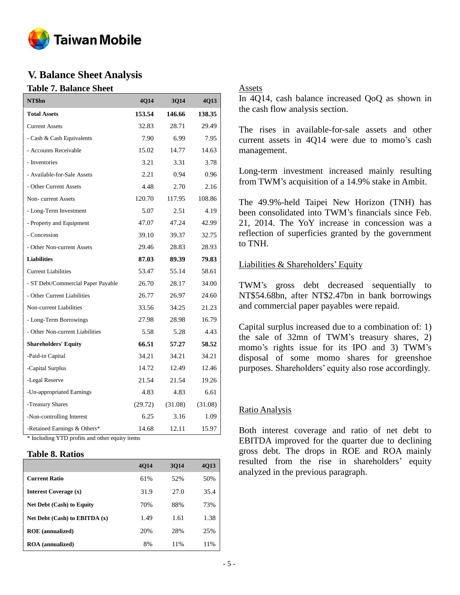

# **V. Balance Sheet Analysis**

### **Table 7. Balance Sheet**

| NT\$bn                             | 4Q14    | 3Q14    | 4Q13    |
|------------------------------------|---------|---------|---------|
| <b>Total Assets</b>                | 153.54  | 146.66  | 138.35  |
| <b>Current Assets</b>              | 32.83   | 28.71   | 29.49   |
| - Cash & Cash Equivalents          | 7.90    | 6.99    | 7.95    |
| - Accounts Receivable              | 15.02   | 14.77   | 14.63   |
| - Inventories                      | 3.21    | 3.31    | 3.78    |
| - Available-for-Sale Assets        | 2.21    | 0.94    | 0.96    |
| - Other Current Assets             | 4.48    | 2.70    | 2.16    |
| Non-current Assets                 | 120.70  | 117.95  | 108.86  |
| - Long-Term Investment             | 5.07    | 2.51    | 4.19    |
| - Property and Equipment           | 47.07   | 47.24   | 42.99   |
| - Concession                       | 39.10   | 39.37   | 32.75   |
| - Other Non-current Assets         | 29.46   | 28.83   | 28.93   |
| <b>Liabilities</b>                 | 87.03   | 89.39   | 79.83   |
| <b>Current Liabilities</b>         | 53.47   | 55.14   | 58.61   |
| - ST Debt/Commercial Paper Payable | 26.70   | 28.17   | 34.00   |
| - Other Current Liabilities        | 26.77   | 26.97   | 24.60   |
| Non-current Liabilities            | 33.56   | 34.25   | 21.23   |
| - Long-Term Borrowings             | 27.98   | 28.98   | 16.79   |
| - Other Non-current Liabilities    | 5.58    | 5.28    | 4.43    |
| <b>Shareholders' Equity</b>        | 66.51   | 57.27   | 58.52   |
| -Paid-in Capital                   | 34.21   | 34.21   | 34.21   |
| -Capital Surplus                   | 14.72   | 12.49   | 12.46   |
| -Legal Reserve                     | 21.54   | 21.54   | 19.26   |
| -Un-appropriated Earnings          | 4.83    | 4.83    | 6.61    |
| -Treasury Shares                   | (29.72) | (31.08) | (31.08) |
| -Non-controlling Interest          | 6.25    | 3.16    | 1.09    |
| -Retained Earnings & Others*       | 14.68   | 12.11   | 15.97   |

\* Including YTD profits and other equity items

### **Table 8. Ratios**

|                                   | <b>4014</b> | 3014 | 4Q13 |
|-----------------------------------|-------------|------|------|
| <b>Current Ratio</b>              | 61%         | 52%  | 50%  |
| Interest Coverage (x)             | 31.9        | 27.0 | 35.4 |
| <b>Net Debt (Cash) to Equity</b>  | 70%         | 88%  | 73%  |
| Net Debt $(Cash)$ to EBITDA $(x)$ | 1.49        | 1.61 | 1.38 |
| <b>ROE</b> (annualized)           | 20%         | 28%  | 25%  |
| <b>ROA</b> (annualized)           | 8%          | 11%  | 11%  |

# Assets

In 4Q14, cash balance increased QoQ as shown in the cash flow analysis section.

The rises in available-for-sale assets and other current assets in 4Q14 were due to momo's cash management.

Long-term investment increased mainly resulting from TWM's acquisition of a 14.9% stake in Ambit.

The 49.9%-held Taipei New Horizon (TNH) has been consolidated into TWM's financials since Feb. 21, 2014. The YoY increase in concession was a reflection of superficies granted by the government to TNH.

### Liabilities & Shareholders' Equity

TWM's gross debt decreased sequentially to NT\$54.68bn, after NT\$2.47bn in bank borrowings and commercial paper payables were repaid.

Capital surplus increased due to a combination of: 1) the sale of 32mn of TWM's treasury shares, 2) momo's rights issue for its IPO and 3) TWM's disposal of some momo shares for greenshoe purposes. Shareholders' equity also rose accordingly.

# Ratio Analysis

Both interest coverage and ratio of net debt to EBITDA improved for the quarter due to declining gross debt. The drops in ROE and ROA mainly resulted from the rise in shareholders' equity analyzed in the previous paragraph.